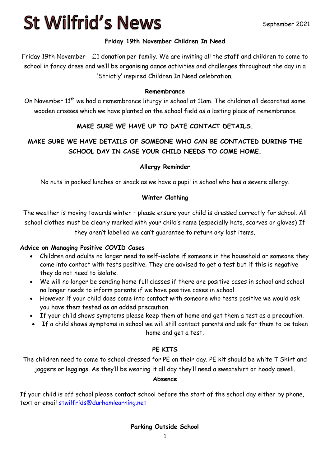## **St Wilfrid's News**

#### **Friday 19th November Children In Need**

Friday 19th November - £1 donation per family. We are inviting all the staff and children to come to school in fancy dress and we'll be organising dance activities and challenges throughout the day in a 'Strictly' inspired Children In Need celebration.

#### **Remembrance**

On November 11<sup>th</sup> we had a remembrance liturgy in school at 11am. The children all decorated some wooden crosses which we have planted on the school field as a lasting place of remembrance

#### **MAKE SURE WE HAVE UP TO DATE CONTACT DETAILS.**

### **MAKE SURE WE HAVE DETAILS OF SOMEONE WHO CAN BE CONTACTED DURING THE SCHOOL DAY IN CASE YOUR CHILD NEEDS TO COME HOME.**

#### **Allergy Reminder**

No nuts in packed lunches or snack as we have a pupil in school who has a severe allergy.

#### **Winter Clothing**

The weather is moving towards winter – please ensure your child is dressed correctly for school. All school clothes must be clearly marked with your child's name (especially hats, scarves or gloves) If they aren't labelled we can't guarantee to return any lost items.

#### **Advice on Managing Positive COVID Cases**

- Children and adults no longer need to self-isolate if someone in the household or someone they come into contact with tests positive. They are advised to get a test but if this is negative they do not need to isolate.
- We will no longer be sending home full classes if there are positive cases in school and school no longer needs to inform parents if we have positive cases in school.
- However if your child does come into contact with someone who tests positive we would ask you have them tested as an added precaution.
- If your child shows symptoms please keep them at home and get them a test as a precaution.
- If a child shows symptoms in school we will still contact parents and ask for them to be taken home and get a test.

#### **PE KITS**

The children need to come to school dressed for PE on their day. PE kit should be white T Shirt and joggers or leggings. As they'll be wearing it all day they'll need a sweatshirt or hoody aswell.

#### **Absence**

If your child is off school please contact school before the start of the school day either by phone, text or email [stwilfrids@durhamlearning.net](mailto:stwilfrids@durhamlearning.net)

#### **Parking Outside School**